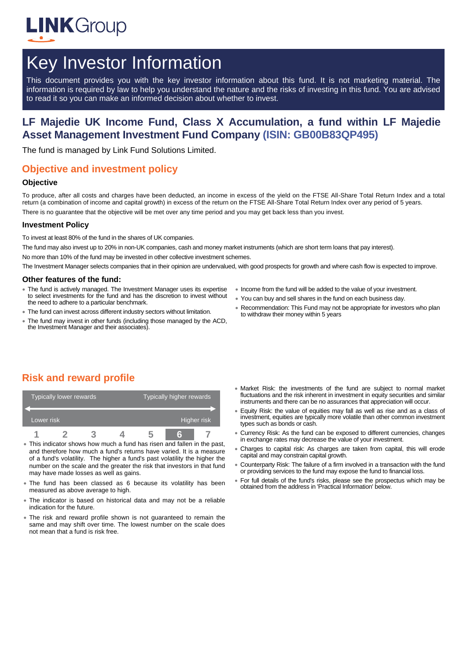

# Key Investor Information

This document provides you with the key investor information about this fund. It is not marketing material. The information is required by law to help you understand the nature and the risks of investing in this fund. You are advised to read it so you can make an informed decision about whether to invest.

# **LF Majedie UK Income Fund, Class X Accumulation, a fund within LF Majedie Asset Management Investment Fund Company (ISIN: GB00B83QP495)**

The fund is managed by Link Fund Solutions Limited.

# **Objective and investment policy**

#### **Objective**

To produce, after all costs and charges have been deducted, an income in excess of the yield on the FTSE All-Share Total Return Index and a total return (a combination of income and capital growth) in excess of the return on the FTSE All-Share Total Return Index over any period of 5 years. There is no guarantee that the objective will be met over any time period and you may get back less than you invest.

#### **Investment Policy**

To invest at least 80% of the fund in the shares of UK companies.

The fund may also invest up to 20% in non-UK companies, cash and money market instruments (which are short term loans that pay interest).

No more than 10% of the fund may be invested in other collective investment schemes.

The Investment Manager selects companies that in their opinion are undervalued, with good prospects for growth and where cash flow is expected to improve.

#### **Other features of the fund:**

- The fund is actively managed. The Investment Manager uses its expertise to select investments for the fund and has the discretion to invest without the need to adhere to a particular benchmark.
- The fund can invest across different industry sectors without limitation.
- The fund may invest in other funds (including those managed by the ACD, the Investment Manager and their associates).
- Income from the fund will be added to the value of your investment.
- You can buy and sell shares in the fund on each business day.
- Recommendation: This Fund may not be appropriate for investors who plan to withdraw their money within 5 years

# **Risk and reward profile**

|            | Typically lower rewards <sup>1</sup> |  | Typically higher rewards |  |  |
|------------|--------------------------------------|--|--------------------------|--|--|
| Lower risk |                                      |  | Higher risk              |  |  |
|            |                                      |  |                          |  |  |

- This indicator shows how much a fund has risen and fallen in the past, and therefore how much a fund's returns have varied. It is a measure of a fund's volatility. The higher a fund's past volatility the higher the number on the scale and the greater the risk that investors in that fund may have made losses as well as gains.
- The fund has been classed as 6 because its volatility has been measured as above average to high.
- The indicator is based on historical data and may not be a reliable indication for the future.
- The risk and reward profile shown is not guaranteed to remain the same and may shift over time. The lowest number on the scale does not mean that a fund is risk free.
- Market Risk: the investments of the fund are subject to normal market fluctuations and the risk inherent in investment in equity securities and similar instruments and there can be no assurances that appreciation will occur.
- Equity Risk: the value of equities may fall as well as rise and as a class of investment, equities are typically more volatile than other common investment types such as bonds or cash.
- Currency Risk: As the fund can be exposed to different currencies, changes in exchange rates may decrease the value of your investment.
- Charges to capital risk: As charges are taken from capital, this will erode capital and may constrain capital growth.
- Counterparty Risk: The failure of a firm involved in a transaction with the fund or providing services to the fund may expose the fund to financial loss.
- For full details of the fund's risks, please see the prospectus which may be obtained from the address in 'Practical Information' below.